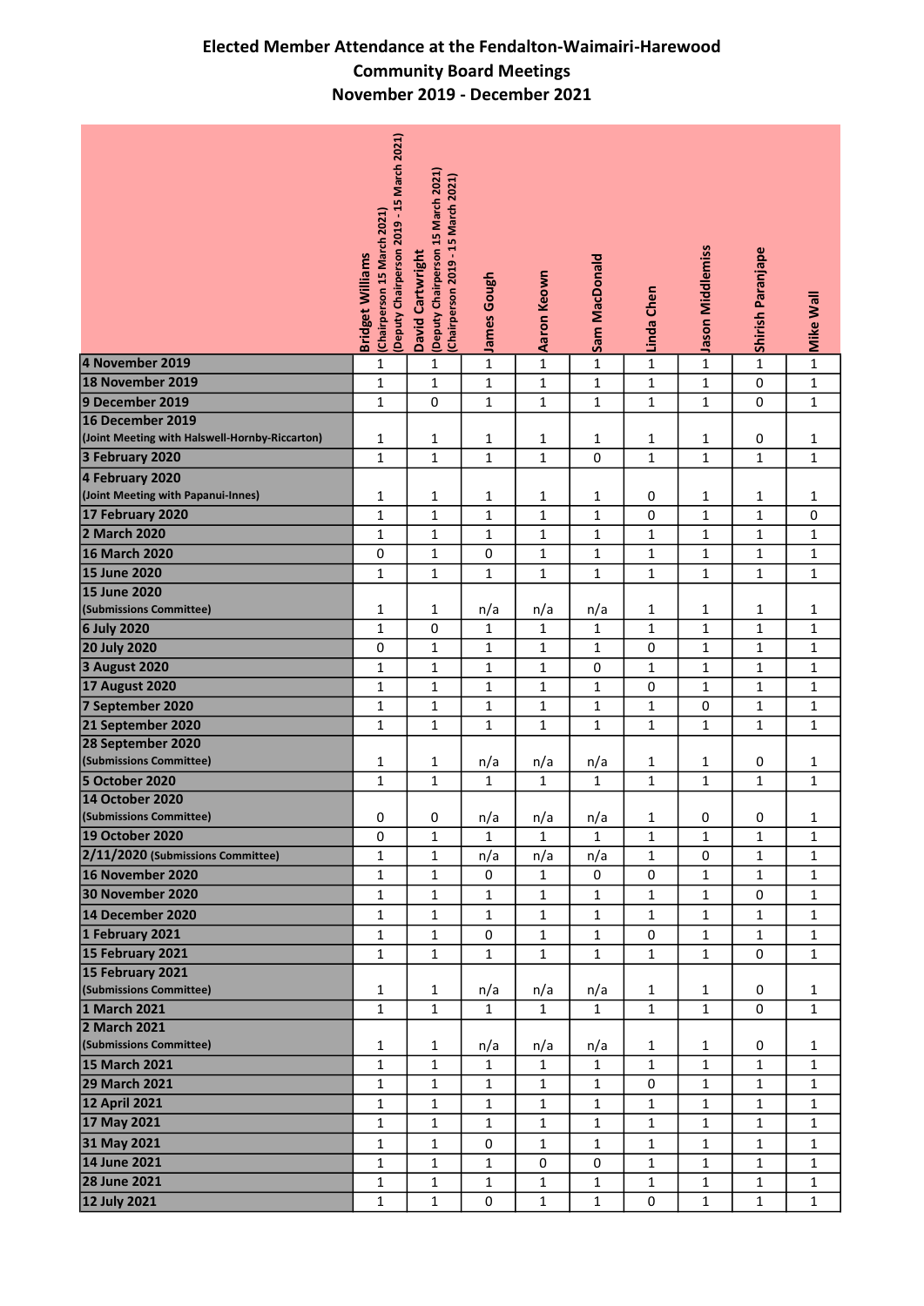## Elected Member Attendance at the Fendalton-Waimairi-Harewood Community Board Meetings November 2019 - December 2021

|                                                | (Deputy Chairperson 2019 - 15 March 2021)<br>(Chairperson 15 March 2021)<br><b>Bridget Williams</b> | (Deputy Chairperson 15 March 2021)<br>(Chairperson 2019 - 15 March 2021)<br>David Cartwright | James Gough  | Aaron Keown  | Sam MacDonald | Linda Chen   | Jason Middlemiss | <b>Shirish Paranjape</b> | <b>Mike Wall</b> |
|------------------------------------------------|-----------------------------------------------------------------------------------------------------|----------------------------------------------------------------------------------------------|--------------|--------------|---------------|--------------|------------------|--------------------------|------------------|
| 4 November 2019                                | 1                                                                                                   | $\mathbf 1$                                                                                  | $\mathbf 1$  | $\mathbf{1}$ | $\mathbf{1}$  | $\mathbf 1$  | $\mathbf{1}$     | $\mathbf 1$              | $\mathbf 1$      |
| 18 November 2019                               | $\mathbf{1}$                                                                                        | $\mathbf 1$                                                                                  | $\mathbf 1$  | $\mathbf{1}$ | $\mathbf 1$   | $\mathbf 1$  | $\mathbf 1$      | $\mathsf 0$              | $\mathbf 1$      |
| 9 December 2019                                | $\mathbf{1}$                                                                                        | 0                                                                                            | $\mathbf 1$  | $\mathbf{1}$ | $\mathbf{1}$  | $\mathbf{1}$ | $\mathbf{1}$     | 0                        | $\mathbf 1$      |
| 16 December 2019                               |                                                                                                     |                                                                                              |              |              |               |              |                  |                          |                  |
| (Joint Meeting with Halswell-Hornby-Riccarton) | 1                                                                                                   | $\mathbf{1}$                                                                                 | 1            | $\mathbf{1}$ | $\mathbf{1}$  | $\mathbf{1}$ | 1                | 0                        | 1                |
| 3 February 2020                                | $\mathbf{1}$                                                                                        | $\mathbf 1$                                                                                  | $\mathbf 1$  | $\mathbf{1}$ | 0             | $\mathbf{1}$ | $\mathbf{1}$     | $\mathbf 1$              | $\mathbf 1$      |
|                                                |                                                                                                     |                                                                                              |              |              |               |              |                  |                          |                  |
| 4 February 2020                                |                                                                                                     |                                                                                              |              |              |               |              |                  |                          |                  |
| (Joint Meeting with Papanui-Innes)             | 1                                                                                                   | $\mathbf{1}$                                                                                 | $\mathbf 1$  | $\mathbf{1}$ | $\mathbf{1}$  | 0            | 1                | $\mathbf{1}$             | 1                |
| 17 February 2020                               | $\mathbf 1$                                                                                         | $\mathbf 1$                                                                                  | $\mathbf 1$  | $\mathbf{1}$ | $\mathbf{1}$  | $\mathbf 0$  | $\mathbf 1$      | $\mathbf 1$              | 0                |
| 2 March 2020                                   | $\mathbf 1$                                                                                         | $\mathbf 1$                                                                                  | $\mathbf 1$  | $\mathbf{1}$ | $\mathbf{1}$  | $\mathbf{1}$ | 1                | $\mathbf 1$              | $\mathbf 1$      |
| 16 March 2020                                  | 0                                                                                                   | $\mathbf 1$                                                                                  | $\pmb{0}$    | $\mathbf{1}$ | $\mathbf{1}$  | $\mathbf 1$  | $\mathbf{1}$     | $\mathbf 1$              | $\mathbf 1$      |
| <b>15 June 2020</b>                            | $\mathbf{1}$                                                                                        | $\mathbf 1$                                                                                  | $\mathbf 1$  | $\mathbf{1}$ | $\mathbf{1}$  | $\mathbf{1}$ | $\mathbf{1}$     | $\mathbf{1}$             | $\mathbf 1$      |
| <b>15 June 2020</b>                            |                                                                                                     |                                                                                              |              |              |               |              |                  |                          |                  |
| (Submissions Committee)                        | 1                                                                                                   | $\mathbf{1}$                                                                                 | n/a          | n/a          | n/a           | $\mathbf{1}$ | 1                | 1                        | 1                |
| 6 July 2020                                    | $\mathbf{1}$                                                                                        | 0                                                                                            | $\mathbf{1}$ | $\mathbf{1}$ | $\mathbf{1}$  | $\mathbf{1}$ | $\mathbf{1}$     | $\mathbf{1}$             | $\mathbf{1}$     |
| <b>20 July 2020</b>                            | 0                                                                                                   | $\mathbf 1$                                                                                  | $\mathbf 1$  | $\mathbf{1}$ | $\mathbf 1$   | $\mathbf 0$  | $\mathbf 1$      | $\mathbf 1$              | $\mathbf 1$      |
| <b>3 August 2020</b>                           | $\mathbf 1$                                                                                         | $\mathbf 1$                                                                                  | $\mathbf 1$  | $\mathbf{1}$ | 0             | $\mathbf 1$  | $\mathbf 1$      | $\mathbf{1}$             | $\mathbf 1$      |
| <b>17 August 2020</b>                          | $\mathbf 1$                                                                                         | $\mathbf 1$                                                                                  | $\mathbf 1$  | $\mathbf{1}$ | 1             | 0            | 1                | $\mathbf 1$              | $\mathbf{1}$     |
| 7 September 2020                               | $\mathbf 1$                                                                                         | $\mathbf 1$                                                                                  | $\mathbf 1$  | $\mathbf{1}$ | $\mathbf{1}$  | $\mathbf{1}$ | 0                | $\mathbf 1$              | $\mathbf 1$      |
| 21 September 2020                              | $\mathbf{1}$                                                                                        | $\mathbf 1$                                                                                  | $\mathbf 1$  | $\mathbf{1}$ | $\mathbf 1$   | $\mathbf{1}$ | 1                | $\mathbf 1$              | $\mathbf 1$      |
| 28 September 2020                              |                                                                                                     |                                                                                              |              |              |               |              |                  |                          |                  |
| (Submissions Committee)                        | 1                                                                                                   | $\mathbf{1}$                                                                                 | n/a          | n/a          | n/a           | $\mathbf{1}$ | 1                | 0                        | $\mathbf{1}$     |
| 5 October 2020                                 | $\mathbf 1$                                                                                         | $\mathbf 1$                                                                                  | $\mathbf{1}$ | $\mathbf{1}$ | $\mathbf{1}$  | 1            | 1                | 1                        | $\mathbf{1}$     |
| 14 October 2020                                |                                                                                                     |                                                                                              |              |              |               |              |                  |                          |                  |
| (Submissions Committee)                        | 0                                                                                                   | 0                                                                                            | n/a          | n/a          | n/a           | 1            | 0                | 0                        | 1                |
| 19 October 2020                                | 0                                                                                                   | $\mathbf 1$                                                                                  | $\mathbf{1}$ | $\mathbf{1}$ | $\mathbf{1}$  | $\mathbf{1}$ | 1                | $\mathbf{1}$             | $\mathbf 1$      |
| 2/11/2020 (Submissions Committee)              | $\mathbf 1$                                                                                         | $\mathbf{1}$                                                                                 | n/a          | n/a          | n/a           | $\mathbf{1}$ | 0                | $\mathbf{1}$             | $\mathbf{1}$     |
| 16 November 2020                               | $\mathbf 1$                                                                                         | $\mathbf{1}$                                                                                 | 0            | $\mathbf{1}$ | 0             | 0            | 1                | $\mathbf{1}$             | $\mathbf{1}$     |
| 30 November 2020                               | $\mathbf 1$                                                                                         | $\mathbf 1$                                                                                  | $\mathbf 1$  | $\mathbf 1$  | $\mathbf 1$   | $\mathbf 1$  | $\mathbf{1}$     | 0                        | $\mathbf 1$      |
| 14 December 2020                               |                                                                                                     |                                                                                              |              |              |               |              |                  |                          |                  |
|                                                | $\mathbf 1$                                                                                         | $\mathbf{1}$                                                                                 | $\mathbf{1}$ | $\mathbf{1}$ | $\mathbf{1}$  | $\mathbf{1}$ | $\mathbf{1}$     | $\mathbf{1}$             | $\mathbf{1}$     |
| 1 February 2021                                | $\mathbf 1$                                                                                         | $\mathbf 1$                                                                                  | $\pmb{0}$    | $\mathbf{1}$ | $\mathbf 1$   | 0            | $\mathbf{1}$     | $\mathbf{1}$             | $\mathbf{1}$     |
| 15 February 2021                               | $\mathbf{1}$                                                                                        | $\mathbf{1}$                                                                                 | $\mathbf 1$  | $\mathbf{1}$ | $\mathbf{1}$  | $\mathbf{1}$ | $\mathbf{1}$     | 0                        | $\mathbf 1$      |
| 15 February 2021                               |                                                                                                     |                                                                                              |              |              |               |              |                  |                          |                  |
| (Submissions Committee)                        | $\mathbf{1}$                                                                                        | $\mathbf{1}$                                                                                 | n/a          | n/a          | n/a           | $\mathbf{1}$ | 1                | 0                        | $\mathbf{1}$     |
| 1 March 2021                                   | $\mathbf{1}$                                                                                        | $\mathbf{1}$                                                                                 | $\mathbf{1}$ | $\mathbf{1}$ | $\mathbf{1}$  | $1\,$        | $\mathbf{1}$     | 0                        | $\mathbf 1$      |
| 2 March 2021                                   |                                                                                                     |                                                                                              |              |              |               |              |                  |                          |                  |
| (Submissions Committee)                        | 1                                                                                                   | $\mathbf{1}$                                                                                 | n/a          | n/a          | n/a           | $\mathbf{1}$ | 1                | 0                        | $\mathbf{1}$     |
| 15 March 2021                                  | $\mathbf{1}$                                                                                        | $\mathbf 1$                                                                                  | $\mathbf{1}$ | $\mathbf{1}$ | $\mathbf{1}$  | $\mathbf{1}$ | $\mathbf{1}$     | $\mathbf{1}$             | $\mathbf{1}$     |
| <b>29 March 2021</b>                           | $\mathbf 1$                                                                                         | $\mathbf 1$                                                                                  | $\mathbf{1}$ | $\mathbf{1}$ | $\mathbf{1}$  | 0            | $\mathbf{1}$     | $\mathbf{1}$             | $\mathbf{1}$     |
| <b>12 April 2021</b>                           | $\mathbf{1}$                                                                                        | $\mathbf 1$                                                                                  | $\mathbf 1$  | $\mathbf{1}$ | $\mathbf{1}$  | $\mathbf 1$  | $\mathbf{1}$     | $\mathbf 1$              | $\mathbf 1$      |
| 17 May 2021                                    | $\mathbf 1$                                                                                         | $\mathbf 1$                                                                                  | $\mathbf 1$  | $\mathbf 1$  | $\mathbf 1$   | $\mathbf{1}$ | $\mathbf{1}$     | $\mathbf 1$              | $\mathbf 1$      |
| 31 May 2021                                    | 1                                                                                                   | $\mathbf{1}$                                                                                 | 0            | $\mathbf{1}$ | $\mathbf{1}$  | $\mathbf{1}$ | 1                | $\mathbf{1}$             | $\mathbf{1}$     |
| 14 June 2021                                   | $\mathbf 1$                                                                                         | $\mathbf{1}$                                                                                 | $\mathbf{1}$ | 0            | 0             | $\mathbf{1}$ | 1                | $\mathbf{1}$             | $\mathbf{1}$     |
| 28 June 2021                                   | $\mathbf{1}$                                                                                        | $\mathbf{1}$                                                                                 | $\mathbf{1}$ | $\mathbf{1}$ | $\mathbf{1}$  | 1            | 1                | $\mathbf{1}$             | $\mathbf{1}$     |
| 12 July 2021                                   | $\mathbf 1$                                                                                         | $\mathbf 1$                                                                                  | $\mathsf 0$  | $\mathbf{1}$ | $\mathbf 1$   | 0            | $\mathbf{1}$     | $\mathbf{1}$             | $\mathbf 1$      |